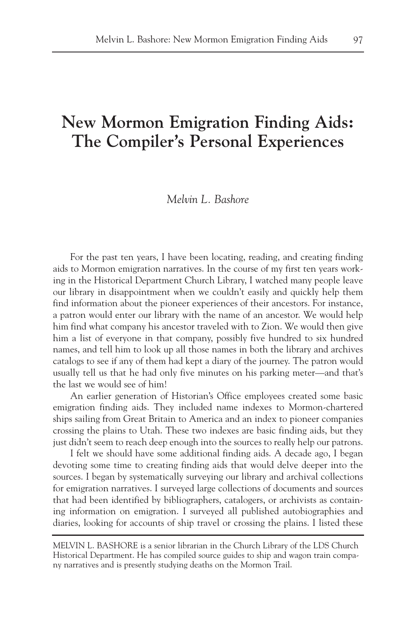# **New Mormon Emigration Finding Aids: The Compiler's Personal Experiences**

### *Melvin L. Bashore*

For the past ten years, I have been locating, reading, and creating finding aids to Mormon emigration narratives. In the course of my first ten years working in the Historical Department Church Library, I watched many people leave our library in disappointment when we couldn't easily and quickly help them find information about the pioneer experiences of their ancestors. For instance, a patron would enter our library with the name of an ancestor. We would help him find what company his ancestor traveled with to Zion. We would then give him a list of everyone in that company, possibly five hundred to six hundred names, and tell him to look up all those names in both the library and archives catalogs to see if any of them had kept a diary of the journey. The patron would usually tell us that he had only five minutes on his parking meter—and that's the last we would see of him!

An earlier generation of Historian's Office employees created some basic emigration finding aids. They included name indexes to Mormon-chartered ships sailing from Great Britain to America and an index to pioneer companies crossing the plains to Utah. These two indexes are basic finding aids, but they just didn't seem to reach deep enough into the sources to really help our patrons.

I felt we should have some additional finding aids. A decade ago, I began devoting some time to creating finding aids that would delve deeper into the sources. I began by systematically surveying our library and archival collections for emigration narratives. I surveyed large collections of documents and sources that had been identified by bibliographers, catalogers, or archivists as containing information on emigration. I surveyed all published autobiographies and diaries, looking for accounts of ship travel or crossing the plains. I listed these

MELVIN L. BASHORE is a senior librarian in the Church Library of the LDS Church Historical Department. He has compiled source guides to ship and wagon train company narratives and is presently studying deaths on the Mormon Trail.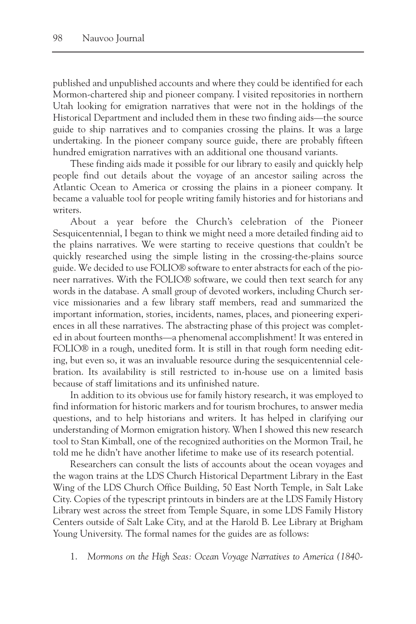published and unpublished accounts and where they could be identified for each Mormon-chartered ship and pioneer company. I visited repositories in northern Utah looking for emigration narratives that were not in the holdings of the Historical Department and included them in these two finding aids—the source guide to ship narratives and to companies crossing the plains. It was a large undertaking. In the pioneer company source guide, there are probably fifteen hundred emigration narratives with an additional one thousand variants.

These finding aids made it possible for our library to easily and quickly help people find out details about the voyage of an ancestor sailing across the Atlantic Ocean to America or crossing the plains in a pioneer company. It became a valuable tool for people writing family histories and for historians and writers.

About a year before the Church's celebration of the Pioneer Sesquicentennial, I began to think we might need a more detailed finding aid to the plains narratives. We were starting to receive questions that couldn't be quickly researched using the simple listing in the crossing-the-plains source guide. We decided to use FOLIO® software to enter abstracts for each of the pioneer narratives. With the FOLIO® software, we could then text search for any words in the database. A small group of devoted workers, including Church service missionaries and a few library staff members, read and summarized the important information, stories, incidents, names, places, and pioneering experiences in all these narratives. The abstracting phase of this project was completed in about fourteen months—a phenomenal accomplishment! It was entered in FOLIO® in a rough, unedited form. It is still in that rough form needing editing, but even so, it was an invaluable resource during the sesquicentennial celebration. Its availability is still restricted to in-house use on a limited basis because of staff limitations and its unfinished nature.

In addition to its obvious use for family history research, it was employed to find information for historic markers and for tourism brochures, to answer media questions, and to help historians and writers. It has helped in clarifying our understanding of Mormon emigration history. When I showed this new research tool to Stan Kimball, one of the recognized authorities on the Mormon Trail, he told me he didn't have another lifetime to make use of its research potential.

Researchers can consult the lists of accounts about the ocean voyages and the wagon trains at the LDS Church Historical Department Library in the East Wing of the LDS Church Office Building, 50 East North Temple, in Salt Lake City. Copies of the typescript printouts in binders are at the LDS Family History Library west across the street from Temple Square, in some LDS Family History Centers outside of Salt Lake City, and at the Harold B. Lee Library at Brigham Young University. The formal names for the guides are as follows:

1. *Mormons on the High Seas: Ocean Voyage Narratives to America (1840-*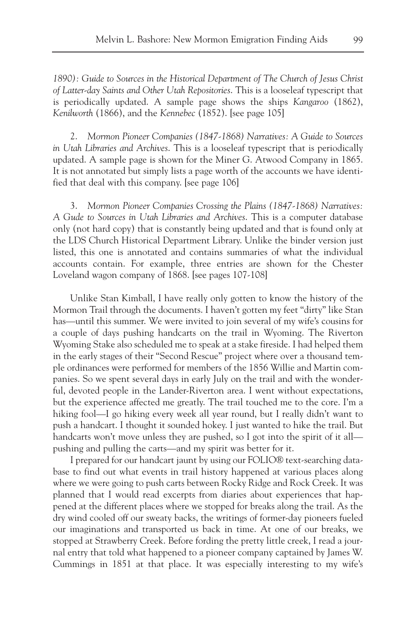*1890): Guide to Sources in the Historical Department of The Church of Jesus Christ of Latter-day Saints and Other Utah Repositories*. This is a looseleaf typescript that is periodically updated. A sample page shows the ships *Kangaroo* (1862), *Kenilworth* (1866), and the *Kennebec* (1852). [see page 105]

2. *Mormon Pioneer Companies (1847-1868) Narratives: A Guide to Sources in Utah Libraries and Archives*. This is a looseleaf typescript that is periodically updated. A sample page is shown for the Miner G. Atwood Company in 1865. It is not annotated but simply lists a page worth of the accounts we have identified that deal with this company. [see page 106]

3. *Mormon Pioneer Companies Crossing the Plains (1847-1868) Narratives: A Gude to Sources in Utah Libraries and Archives*. This is a computer database only (not hard copy) that is constantly being updated and that is found only at the LDS Church Historical Department Library. Unlike the binder version just listed, this one is annotated and contains summaries of what the individual accounts contain. For example, three entries are shown for the Chester Loveland wagon company of 1868. [see pages 107-108]

Unlike Stan Kimball, I have really only gotten to know the history of the Mormon Trail through the documents. I haven't gotten my feet "dirty" like Stan has—until this summer. We were invited to join several of my wife's cousins for a couple of days pushing handcarts on the trail in Wyoming. The Riverton Wyoming Stake also scheduled me to speak at a stake fireside. I had helped them in the early stages of their "Second Rescue" project where over a thousand temple ordinances were performed for members of the 1856 Willie and Martin companies. So we spent several days in early July on the trail and with the wonderful, devoted people in the Lander-Riverton area. I went without expectations, but the experience affected me greatly. The trail touched me to the core. I'm a hiking fool—I go hiking every week all year round, but I really didn't want to push a handcart. I thought it sounded hokey. I just wanted to hike the trail. But handcarts won't move unless they are pushed, so I got into the spirit of it all pushing and pulling the carts—and my spirit was better for it.

I prepared for our handcart jaunt by using our FOLIO® text-searching database to find out what events in trail history happened at various places along where we were going to push carts between Rocky Ridge and Rock Creek. It was planned that I would read excerpts from diaries about experiences that happened at the different places where we stopped for breaks along the trail. As the dry wind cooled off our sweaty backs, the writings of former-day pioneers fueled our imaginations and transported us back in time. At one of our breaks, we stopped at Strawberry Creek. Before fording the pretty little creek, I read a journal entry that told what happened to a pioneer company captained by James W. Cummings in 1851 at that place. It was especially interesting to my wife's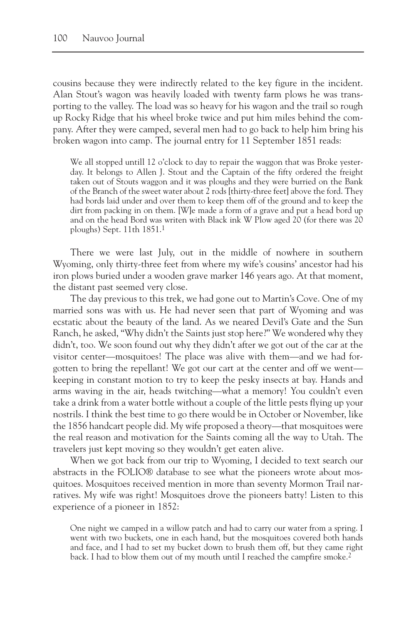cousins because they were indirectly related to the key figure in the incident. Alan Stout's wagon was heavily loaded with twenty farm plows he was transporting to the valley. The load was so heavy for his wagon and the trail so rough up Rocky Ridge that his wheel broke twice and put him miles behind the company. After they were camped, several men had to go back to help him bring his broken wagon into camp. The journal entry for 11 September 1851 reads:

We all stopped untill 12 o'clock to day to repair the waggon that was Broke yesterday. It belongs to Allen J. Stout and the Captain of the fifty ordered the freight taken out of Stouts waggon and it was ploughs and they were burried on the Bank of the Branch of the sweet water about 2 rods [thirty-three feet] above the ford. They had bords laid under and over them to keep them off of the ground and to keep the dirt from packing in on them. [W]e made a form of a grave and put a head bord up and on the head Bord was writen with Black ink W Plow aged 20 (for there was 20 ploughs) Sept. 11th 1851.1

There we were last July, out in the middle of nowhere in southern Wyoming, only thirty-three feet from where my wife's cousins' ancestor had his iron plows buried under a wooden grave marker 146 years ago. At that moment, the distant past seemed very close.

The day previous to this trek, we had gone out to Martin's Cove. One of my married sons was with us. He had never seen that part of Wyoming and was ecstatic about the beauty of the land. As we neared Devil's Gate and the Sun Ranch, he asked, "Why didn't the Saints just stop here?" We wondered why they didn't, too. We soon found out why they didn't after we got out of the car at the visitor center—mosquitoes! The place was alive with them—and we had forgotten to bring the repellant! We got our cart at the center and off we went keeping in constant motion to try to keep the pesky insects at bay. Hands and arms waving in the air, heads twitching—what a memory! You couldn't even take a drink from a water bottle without a couple of the little pests flying up your nostrils. I think the best time to go there would be in October or November, like the 1856 handcart people did. My wife proposed a theory—that mosquitoes were the real reason and motivation for the Saints coming all the way to Utah. The travelers just kept moving so they wouldn't get eaten alive.

When we got back from our trip to Wyoming, I decided to text search our abstracts in the FOLIO® database to see what the pioneers wrote about mosquitoes. Mosquitoes received mention in more than seventy Mormon Trail narratives. My wife was right! Mosquitoes drove the pioneers batty! Listen to this experience of a pioneer in 1852:

One night we camped in a willow patch and had to carry our water from a spring. I went with two buckets, one in each hand, but the mosquitoes covered both hands and face, and I had to set my bucket down to brush them off, but they came right back. I had to blow them out of my mouth until I reached the campfire smoke.<sup>2</sup>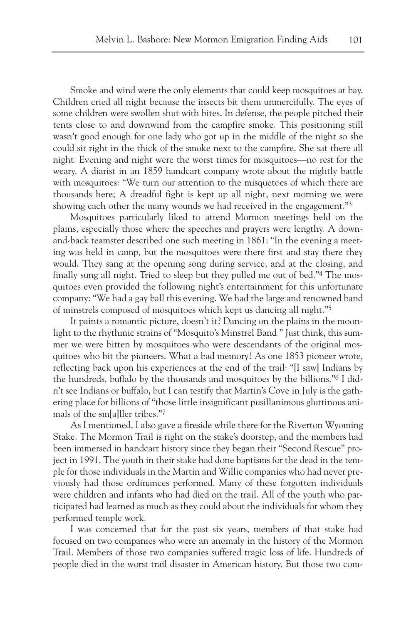Smoke and wind were the only elements that could keep mosquitoes at bay. Children cried all night because the insects bit them unmercifully. The eyes of some children were swollen shut with bites. In defense, the people pitched their tents close to and downwind from the campfire smoke. This positioning still wasn't good enough for one lady who got up in the middle of the night so she could sit right in the thick of the smoke next to the campfire. She sat there all night. Evening and night were the worst times for mosquitoes—no rest for the weary. A diarist in an 1859 handcart company wrote about the nightly battle with mosquitoes: "We turn our attention to the misquetoes of which there are thousands here; A dreadful fight is kept up all night, next morning we were showing each other the many wounds we had received in the engagement."3

Mosquitoes particularly liked to attend Mormon meetings held on the plains, especially those where the speeches and prayers were lengthy. A downand-back teamster described one such meeting in 1861: "In the evening a meeting was held in camp, but the mosquitoes were there first and stay there they would. They sang at the opening song during service, and at the closing, and finally sung all night. Tried to sleep but they pulled me out of bed."4 The mosquitoes even provided the following night's entertainment for this unfortunate company: "We had a gay ball this evening. We had the large and renowned band of minstrels composed of mosquitoes which kept us dancing all night."5

It paints a romantic picture, doesn't it? Dancing on the plains in the moonlight to the rhythmic strains of "Mosquito's Minstrel Band." Just think, this summer we were bitten by mosquitoes who were descendants of the original mosquitoes who bit the pioneers. What a bad memory! As one 1853 pioneer wrote, reflecting back upon his experiences at the end of the trail: "[I saw] Indians by the hundreds, buffalo by the thousands and mosquitoes by the billions."6 I didn't see Indians or buffalo, but I can testify that Martin's Cove in July is the gathering place for billions of "those little insignificant pusillanimous gluttinous animals of the sm[a]ller tribes."7

As I mentioned, I also gave a fireside while there for the Riverton Wyoming Stake. The Mormon Trail is right on the stake's doorstep, and the members had been immersed in handcart history since they began their "Second Rescue" project in 1991. The youth in their stake had done baptisms for the dead in the temple for those individuals in the Martin and Willie companies who had never previously had those ordinances performed. Many of these forgotten individuals were children and infants who had died on the trail. All of the youth who participated had learned as much as they could about the individuals for whom they performed temple work.

I was concerned that for the past six years, members of that stake had focused on two companies who were an anomaly in the history of the Mormon Trail. Members of those two companies suffered tragic loss of life. Hundreds of people died in the worst trail disaster in American history. But those two com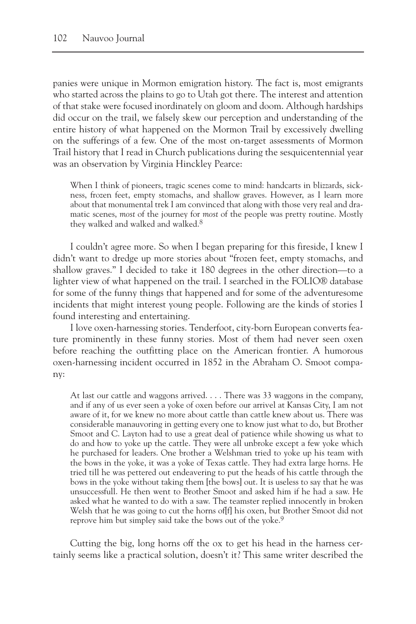panies were unique in Mormon emigration history. The fact is, most emigrants who started across the plains to go to Utah got there. The interest and attention of that stake were focused inordinately on gloom and doom. Although hardships did occur on the trail, we falsely skew our perception and understanding of the entire history of what happened on the Mormon Trail by excessively dwelling on the sufferings of a few. One of the most on-target assessments of Mormon Trail history that I read in Church publications during the sesquicentennial year was an observation by Virginia Hinckley Pearce:

When I think of pioneers, tragic scenes come to mind: handcarts in blizzards, sickness, frozen feet, empty stomachs, and shallow graves. However, as I learn more about that monumental trek I am convinced that along with those very real and dramatic scenes, *most* of the journey for *most* of the people was pretty routine. Mostly they walked and walked and walked.<sup>8</sup>

I couldn't agree more. So when I began preparing for this fireside, I knew I didn't want to dredge up more stories about "frozen feet, empty stomachs, and shallow graves." I decided to take it 180 degrees in the other direction—to a lighter view of what happened on the trail. I searched in the FOLIO® database for some of the funny things that happened and for some of the adventuresome incidents that might interest young people. Following are the kinds of stories I found interesting and entertaining.

I love oxen-harnessing stories. Tenderfoot, city-born European converts feature prominently in these funny stories. Most of them had never seen oxen before reaching the outfitting place on the American frontier. A humorous oxen-harnessing incident occurred in 1852 in the Abraham O. Smoot company:

At last our cattle and waggons arrived. . . . There was 33 waggons in the company, and if any of us ever seen a yoke of oxen before our arrivel at Kansas City, I am not aware of it, for we knew no more about cattle than cattle knew about us. There was considerable manauvoring in getting every one to know just what to do, but Brother Smoot and C. Layton had to use a great deal of patience while showing us what to do and how to yoke up the cattle. They were all unbroke except a few yoke which he purchased for leaders. One brother a Welshman tried to yoke up his team with the bows in the yoke, it was a yoke of Texas cattle. They had extra large horns. He tried till he was pettered out endeavering to put the heads of his cattle through the bows in the yoke without taking them [the bows] out. It is useless to say that he was unsuccessfull. He then went to Brother Smoot and asked him if he had a saw. He asked what he wanted to do with a saw. The teamster replied innocently in broken Welsh that he was going to cut the horns of[f] his oxen, but Brother Smoot did not reprove him but simpley said take the bows out of the yoke.9

Cutting the big, long horns off the ox to get his head in the harness certainly seems like a practical solution, doesn't it? This same writer described the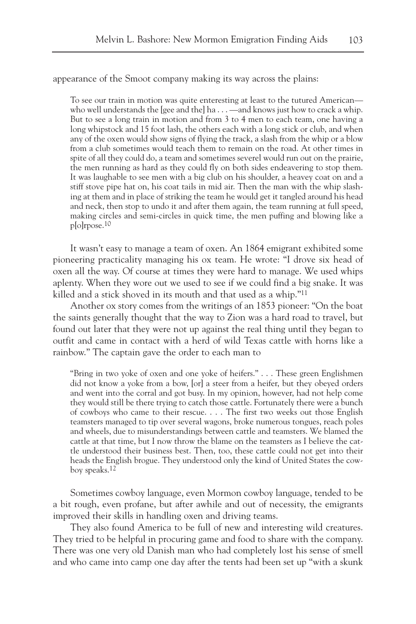appearance of the Smoot company making its way across the plains:

To see our train in motion was quite enteresting at least to the tutured American who well understands the [gee and the] ha  $\dots$  —and knows just how to crack a whip. But to see a long train in motion and from 3 to 4 men to each team, one having a long whipstock and 15 foot lash, the others each with a long stick or club, and when any of the oxen would show signs of flying the track, a slash from the whip or a blow from a club sometimes would teach them to remain on the road. At other times in spite of all they could do, a team and sometimes severel would run out on the prairie, the men running as hard as they could fly on both sides endeavering to stop them. It was laughable to see men with a big club on his shoulder, a heavey coat on and a stiff stove pipe hat on, his coat tails in mid air. Then the man with the whip slashing at them and in place of striking the team he would get it tangled around his head and neck, then stop to undo it and after them again, the team running at full speed, making circles and semi-circles in quick time, the men puffing and blowing like a p[o]rpose.10

It wasn't easy to manage a team of oxen. An 1864 emigrant exhibited some pioneering practicality managing his ox team. He wrote: "I drove six head of oxen all the way. Of course at times they were hard to manage. We used whips aplenty. When they wore out we used to see if we could find a big snake. It was killed and a stick shoved in its mouth and that used as a whip."11

Another ox story comes from the writings of an 1853 pioneer: "On the boat the saints generally thought that the way to Zion was a hard road to travel, but found out later that they were not up against the real thing until they began to outfit and came in contact with a herd of wild Texas cattle with horns like a rainbow." The captain gave the order to each man to

"Bring in two yoke of oxen and one yoke of heifers." . . . These green Englishmen did not know a yoke from a bow, [or] a steer from a heifer, but they obeyed orders and went into the corral and got busy. In my opinion, however, had not help come they would still be there trying to catch those cattle. Fortunately there were a bunch of cowboys who came to their rescue. . . . The first two weeks out those English teamsters managed to tip over several wagons, broke numerous tongues, reach poles and wheels, due to misunderstandings between cattle and teamsters. We blamed the cattle at that time, but I now throw the blame on the teamsters as I believe the cattle understood their business best. Then, too, these cattle could not get into their heads the English brogue. They understood only the kind of United States the cowboy speaks.12

Sometimes cowboy language, even Mormon cowboy language, tended to be a bit rough, even profane, but after awhile and out of necessity, the emigrants improved their skills in handling oxen and driving teams.

They also found America to be full of new and interesting wild creatures. They tried to be helpful in procuring game and food to share with the company. There was one very old Danish man who had completely lost his sense of smell and who came into camp one day after the tents had been set up "with a skunk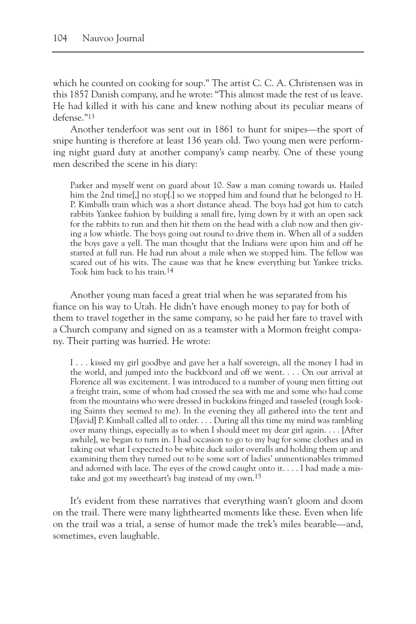which he counted on cooking for soup." The artist C. C. A. Christensen was in this 1857 Danish company, and he wrote: "This almost made the rest of us leave. He had killed it with his cane and knew nothing about its peculiar means of defense."13

Another tenderfoot was sent out in 1861 to hunt for snipes—the sport of snipe hunting is therefore at least 136 years old. Two young men were performing night guard duty at another company's camp nearby. One of these young men described the scene in his diary:

Parker and myself went on guard about 10. Saw a man coming towards us. Hailed him the 2nd time[,] no stop[.] so we stopped him and found that he belonged to H. P. Kimballs train which was a short distance ahead. The boys had got him to catch rabbits Yankee fashion by building a small fire, lying down by it with an open sack for the rabbits to run and then hit them on the head with a club now and then giving a low whistle. The boys going out round to drive them in. When all of a sudden the boys gave a yell. The man thought that the Indians were upon him and off he started at full run. He had run about a mile when we stopped him. The fellow was scared out of his wits. The cause was that he knew everything but Yankee tricks. Took him back to his train.14

Another young man faced a great trial when he was separated from his fiance on his way to Utah. He didn't have enough money to pay for both of them to travel together in the same company, so he paid her fare to travel with a Church company and signed on as a teamster with a Mormon freight company. Their parting was hurried. He wrote:

I . . . kissed my girl goodbye and gave her a half sovereign, all the money I had in the world, and jumped into the buckboard and off we went. . . . On our arrival at Florence all was excitement. I was introduced to a number of young men fitting out a freight train, some of whom had crossed the sea with me and some who had come from the mountains who were dressed in buckskins fringed and tasseled (rough looking Saints they seemed to me). In the evening they all gathered into the tent and D[avid] P. Kimball called all to order. . . . During all this time my mind was rambling over many things, especially as to when I should meet my dear girl again. . . . [After awhile], we began to turn in. I had occasion to go to my bag for some clothes and in taking out what I expected to be white duck sailor overalls and holding them up and examining them they turned out to be some sort of ladies' unmentionables trimmed and adorned with lace. The eyes of the crowd caught onto it. . . . I had made a mistake and got my sweetheart's bag instead of my own.15

It's evident from these narratives that everything wasn't gloom and doom on the trail. There were many lighthearted moments like these. Even when life on the trail was a trial, a sense of humor made the trek's miles bearable—and, sometimes, even laughable.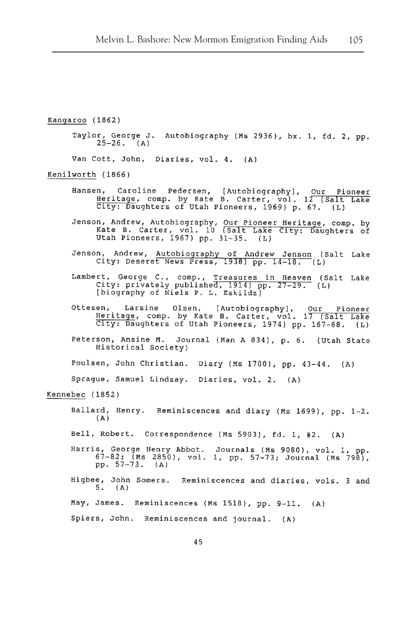Kangaroo (1862) Taylor, George J. Autobiography (Ms 2936), bx. 1, fd. 2, pp.  $25-26.$  (A) Van Cott, John. Diaries, vol. 4. (A) Kenilworth (1866) en, Caroline Pedersen, [Autobiography], Our Pioneer<br>Heritage, comp. by Kate B. Carter, vol. 12 (Salt Lake<br>City: Daughters of Utah Pioneers, 1969) p. 67. (L) Hansen, Jenson, Andrew, Autobiography, Our Pioneer Heritage, comp. by<br>Kate B. Carter, vol. 10 (Salt Lake City: Daughters of<br>Utah Pioneers, 1967) pp. 31-35. (L) Jenson, Andrew, Autobiography of Andrew Jenson (Salt Lake City: Deseret News Press, 1938) pp. 14-18. (L) Lambert, George C., comp., Treasures in Heaven (Salt Lake<br>City: privately published, 1914) pp. 27-29. (L) [biography of Niels P. L. Eskildz] en, Larsine Olsen, [Autobiography], Our Pioneer<br>Heritage, comp. by Kate B. Carter, vol. 17 (Salt Lake<br>City: Daughters of Utah Pioneers, 1974) pp. 167-68. (L) Ottesen, Peterson, Ansine M. Journal (Man A 834), p. 6. (Utah State Historical Society) Poulsen, John Christian. Diary (Ms 1700), pp. 43-44. (A) Sprague, Samuel Lindsay. Diaries, vol. 2. (A) Kennebec (1852) Ballard, Henry. Reminiscences and diary (Ms 1699), pp. 1-2.  $(A)$ Bell, Robert. Correspondence (Ms 5903), fd. 1, #2. (A) Harris, George Henry Abbot. Journals (Ms 9080), vol. 1, pp. 67-82; (Ms 2850), vol. 1, pp. 57-73; Journal (Ms 798), pp. 57-73. (A) Higbee, John Somers. Reminiscences and diaries, vols. 3 and  $5. (A)$ May, James. Reminiscences (Ms 1518), pp. 9-11. (A) Spiers, John. Reminiscences and journal. (A)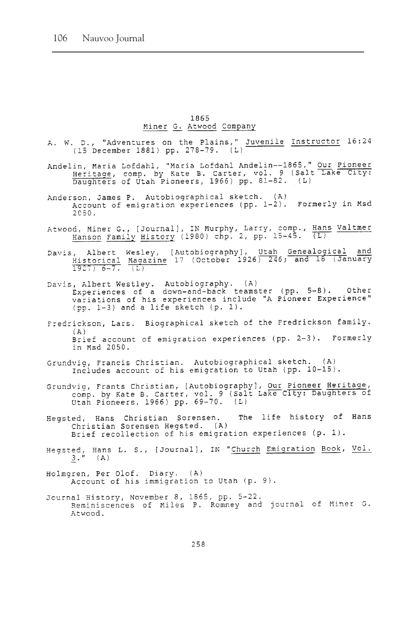#### 1865 Miner G. Atwood Company

- A. W. D., "Adventures on the Plains," Juvenile Instructor 16:24 (15 December 1881) pp. 278-79. (L)
- Andelin, Maria Lofdahl, "Maria Lofdahl Andelin--1865," Our Pioneer<br>Heritage, comp. by Kate B. Carter, vol. 9 (Salt Lake City:<br>Daughters of Utah Pioneers, 1966) pp. 81-82. (L)
- Anderson, James P. Autobiographical sketch. (A) Account of emigration experiences (pp. 1-2). Formerly in Msd 2050.
- Atwood, Miner G., [Journal], IN Murphy, Larry, comp., Hans Valtmer<br>Hanson Family History (1980) chp. 2, pp. 15-45. (L)
- Davis, Albert Wesley, [Autobiography], Utah Genealogical and<br>
Historical Magazine 17 (October 1926) 246; and 18 (January<br>
1927) 6-7. (L)
- Davis, Albert Westley. Autobiography. (A)<br>Experiences of a down-and-back teamster (pp. 5-8). Other<br>variations of his experiences include "A Pioneer Experience" (pp. 1-3) and a life sketch (p. 1).
- Fredrickson, Lars. Biographical sketch of the Fredrickson family.  $(A)$ Brief account of emigration experiences (pp. 2-3). Formerly in Msd 2050.
- Grundvig, Francis Christian. Autobiographical sketch. (A)<br>Includes account of his emigration to Utah (pp. 10-15).
- Grundvig, Frants Christian, [Autobiography], Our Pioneer Heritage,<br>comp. by Kate B. Carter, vol. 9 (Salt Lake City: Daughters of<br>Utah Pioneers, 1966) pp. 69-70. (L)
- The life history of Hans Hegsted, Hans Christian Sorensen. Christian Sorensen Hegsted. (A) Brief recollection of his emigration experiences (p. 1).
- Hegsted, Hans L. S., [Journal], IN "Church Emigration Book, Vol.  $3.$  " (A)
- Holmgren, Per Olof. Diary. (A) Account of his immigration to Utah (p. 9).
- Journal History, November 8, 1865, pp. 5-22. Reminiscences of Miles P. Romney and journal of Miner G. Atwood.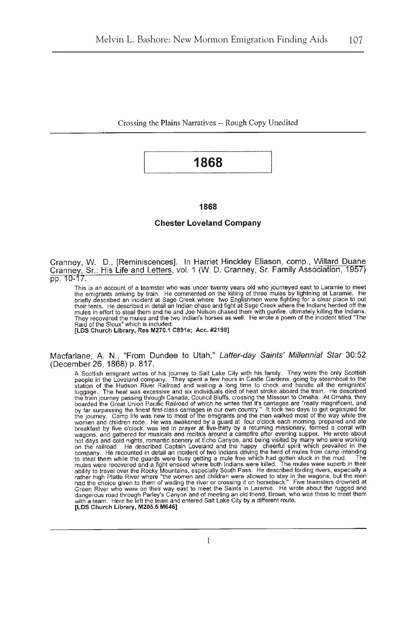Crossing the Plains Narratives -- Rough Copy Unedited

## 1868

#### 1868

#### **Chester Loveland Company**

Cranney, W. D., [Reminiscences]. In Harriet Hinckley Eliason, comp., Willard Duane<br>Cranney, Sr.: His Life and Letters, vol. 1 (W. D. Cranney, Sr. Family Association, 1957)<br>pp. 10-17.

This is an account of a teamster who was under twenty years old who journeyed east to Laramie to meet<br>the emigrants arriving by train. He commented on the killing of three mules by lightning at Laramie. He<br>briefly describe their tents. He described in detail an Indian chase and fight at Sage Creek where the Indians herded off the mules in effort to steal them and he and Joe Nelson chased them with gunfire, ultimately killing the Indians. They recovered the mules and the two Indian's horses as well. He wrote a poem of the incident titled "The Raid of the Sioux" which is included.

[LDS Church Library, Res M270.1 C891e; Acc. #2198]

Macfarlane, A. N., "From Dundee to Utah," Latter-day Saints' Millennial Star 30:52 (December 26, 1868) p. 817.

The points and the sign of this journey to Salt Lake City with his family. They were the only Scottish<br>A Scottish energiant writtes of his journey to Salt Lake City with his family. They were the only Scottish<br>people in t by tan surveys. Camp life was new to most of the emigrants and the men walked most of the way while the<br>women and children rode. He was awakened by a guard at four o'clock each morning, prepared and ate<br>breakfast by five o wagons, and gathered for musicals and recitals around a campfire after evening supper. He wrote about hot days and cold nights, romantic scenery at Echo Canyon, and being visited by many who were working not days and cold nights, romantic scenery at Echo Canyon, and being visited by many who were working<br>on the railroad. He described Captain Loveland and the happy cheerful spirit which prevailed in the<br>company. He recounte Green River who were on their way east to meet the Saints in Laramie. He wrote about the rugged and dangerous road through Parley's Canyon and of meeting an old friend, Brown, who was there to meet them<br>with a team. Here he left the team and entered Salt Lake City by a different route. [LDS Church Library, M205.5 M646]